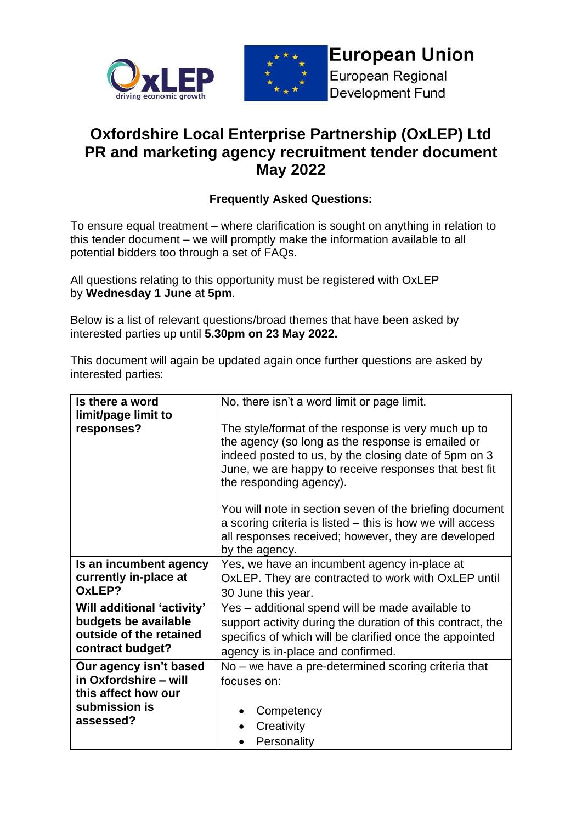



## **European Union**

European Regional Development Fund

## **Oxfordshire Local Enterprise Partnership (OxLEP) Ltd PR and marketing agency recruitment tender document May 2022**

## **Frequently Asked Questions:**

To ensure equal treatment – where clarification is sought on anything in relation to this tender document – we will promptly make the information available to all potential bidders too through a set of FAQs.

All questions relating to this opportunity must be registered with OxLEP by **Wednesday 1 June** at **5pm**.

Below is a list of relevant questions/broad themes that have been asked by interested parties up until **5.30pm on 23 May 2022.**

This document will again be updated again once further questions are asked by interested parties:

| Is there a word                                                                                   | No, there isn't a word limit or page limit.                                                                                                                                                                                                          |
|---------------------------------------------------------------------------------------------------|------------------------------------------------------------------------------------------------------------------------------------------------------------------------------------------------------------------------------------------------------|
| limit/page limit to                                                                               |                                                                                                                                                                                                                                                      |
| responses?                                                                                        | The style/format of the response is very much up to<br>the agency (so long as the response is emailed or<br>indeed posted to us, by the closing date of 5pm on 3<br>June, we are happy to receive responses that best fit<br>the responding agency). |
|                                                                                                   | You will note in section seven of the briefing document<br>a scoring criteria is listed – this is how we will access<br>all responses received; however, they are developed<br>by the agency.                                                        |
| Is an incumbent agency                                                                            | Yes, we have an incumbent agency in-place at                                                                                                                                                                                                         |
| currently in-place at                                                                             | OxLEP. They are contracted to work with OxLEP until                                                                                                                                                                                                  |
| OxLEP?                                                                                            | 30 June this year.                                                                                                                                                                                                                                   |
| Will additional 'activity'<br>budgets be available<br>outside of the retained<br>contract budget? | Yes – additional spend will be made available to<br>support activity during the duration of this contract, the<br>specifics of which will be clarified once the appointed<br>agency is in-place and confirmed.                                       |
| Our agency isn't based                                                                            | No – we have a pre-determined scoring criteria that                                                                                                                                                                                                  |
| in Oxfordshire - will                                                                             | focuses on:                                                                                                                                                                                                                                          |
| this affect how our                                                                               |                                                                                                                                                                                                                                                      |
| submission is                                                                                     | Competency                                                                                                                                                                                                                                           |
| assessed?                                                                                         | Creativity                                                                                                                                                                                                                                           |
|                                                                                                   | Personality                                                                                                                                                                                                                                          |
|                                                                                                   |                                                                                                                                                                                                                                                      |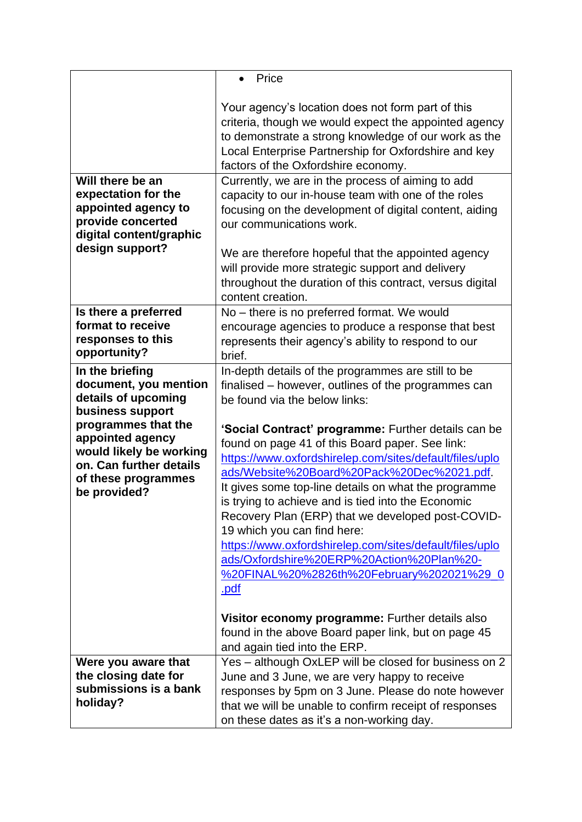|                                                                                                                                      | Price                                                                                                                                                                                                                                                                                                                                                                                                                                                                                                                                                                                        |
|--------------------------------------------------------------------------------------------------------------------------------------|----------------------------------------------------------------------------------------------------------------------------------------------------------------------------------------------------------------------------------------------------------------------------------------------------------------------------------------------------------------------------------------------------------------------------------------------------------------------------------------------------------------------------------------------------------------------------------------------|
|                                                                                                                                      | Your agency's location does not form part of this<br>criteria, though we would expect the appointed agency<br>to demonstrate a strong knowledge of our work as the<br>Local Enterprise Partnership for Oxfordshire and key<br>factors of the Oxfordshire economy.                                                                                                                                                                                                                                                                                                                            |
| Will there be an<br>expectation for the<br>appointed agency to<br>provide concerted<br>digital content/graphic<br>design support?    | Currently, we are in the process of aiming to add<br>capacity to our in-house team with one of the roles<br>focusing on the development of digital content, aiding<br>our communications work.<br>We are therefore hopeful that the appointed agency<br>will provide more strategic support and delivery                                                                                                                                                                                                                                                                                     |
|                                                                                                                                      | throughout the duration of this contract, versus digital<br>content creation.                                                                                                                                                                                                                                                                                                                                                                                                                                                                                                                |
| Is there a preferred<br>format to receive<br>responses to this<br>opportunity?                                                       | No - there is no preferred format. We would<br>encourage agencies to produce a response that best<br>represents their agency's ability to respond to our<br>brief.                                                                                                                                                                                                                                                                                                                                                                                                                           |
| In the briefing<br>document, you mention<br>details of upcoming<br>business support                                                  | In-depth details of the programmes are still to be<br>finalised - however, outlines of the programmes can<br>be found via the below links:                                                                                                                                                                                                                                                                                                                                                                                                                                                   |
| programmes that the<br>appointed agency<br>would likely be working<br>on. Can further details<br>of these programmes<br>be provided? | 'Social Contract' programme: Further details can be<br>found on page 41 of this Board paper. See link:<br>https://www.oxfordshirelep.com/sites/default/files/uplo<br>ads/Website%20Board%20Pack%20Dec%2021.pdf.<br>It gives some top-line details on what the programme<br>is trying to achieve and is tied into the Economic<br>Recovery Plan (ERP) that we developed post-COVID-<br>19 which you can find here:<br>https://www.oxfordshirelep.com/sites/default/files/uplo<br>ads/Oxfordshire%20ERP%20Action%20Plan%20-<br>0 <u>%20FINAL%20%2826th%20February%202021%29</u><br><u>.pdf</u> |
|                                                                                                                                      | Visitor economy programme: Further details also<br>found in the above Board paper link, but on page 45<br>and again tied into the ERP.                                                                                                                                                                                                                                                                                                                                                                                                                                                       |
| Were you aware that<br>the closing date for<br>submissions is a bank<br>holiday?                                                     | Yes - although OxLEP will be closed for business on 2<br>June and 3 June, we are very happy to receive<br>responses by 5pm on 3 June. Please do note however<br>that we will be unable to confirm receipt of responses<br>on these dates as it's a non-working day.                                                                                                                                                                                                                                                                                                                          |